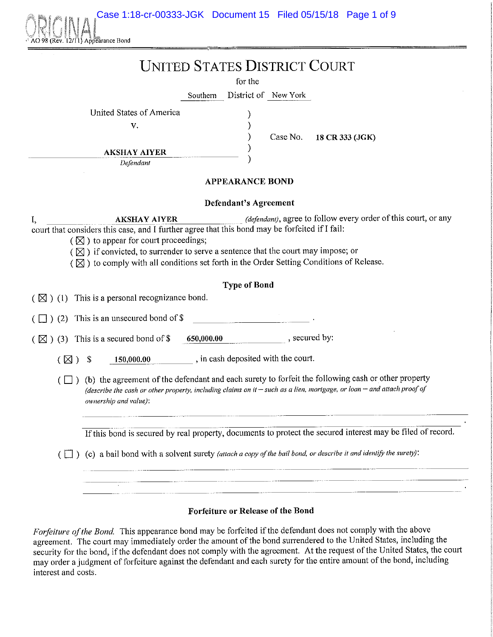Case 1:18-cr-00333-JGK Document 15 Filed 05/15/18 Page 1 of 9



### **UNITED STATES DISTRICT COURT**

for the

Southern District of New York

) ) ) ) )

United States of America

V.

Case No. **18 CR** 333 **(JGK)** 

**\_\_\_\_\_\_\_ AKSHAY AIYER** 

*Defendant* 

#### **APPEARANCE BOND**

#### **Defendant's Agreement**

**I, AKSHAY AIYER** *(defendant)*, agree to follow every order of this court, or any comt that considers this case, and I further agree that this bond may be forfeited if I fail:

- $(\sqrt{8})$  to appear for court proceedings;
- $({\boxtimes})$  if convicted, to surrender to serve a sentence that the court may impose; or
- $(\boxtimes)$  to comply with all conditions set forth in the Order Setting Conditions of Release.

#### **Type of Bond**

 $(\boxtimes)$  (1) This is a personal recognizance bond.

 $\left(\Box\right)$  (2) This is an unsecured bond of \$

 $(\boxtimes)$  (3) This is a secured bond of \$ 650,000.00 , secured by:

 $(\boxtimes)$  \$ 150,000.00 , in cash deposited with the court.

 $(\Box)$  (b) the agreement of the defendant and each surety to forfeit the following cash or other property *(describe the cash or other property, including claims on* **if-** *such as a lien, mortgage, or loan* **-** *and attach proof of ownership and value):* 

If this bond is secured by real property, documents to protect the secured interest may be filed of record.

 $\Box$  ) (c) a bail bond with a solvent surety *(attach a copy of the bail bond, or describe it and identify the surety*):

# 

#### **Forfeiture or Release of the Bond**

*Forfeiture of the Bond.* This appearance bond may be forfeited if the defendant does not comply with the above agreement. The court may immediately order the amount of the bond surrendered to the United States, including the security for the bond, if the defendant does not comply with the agreement. At the request of the United States, the court may order a judgment of forfeiture against the defendant and each surety for the entire amount of the bond, including interest and costs.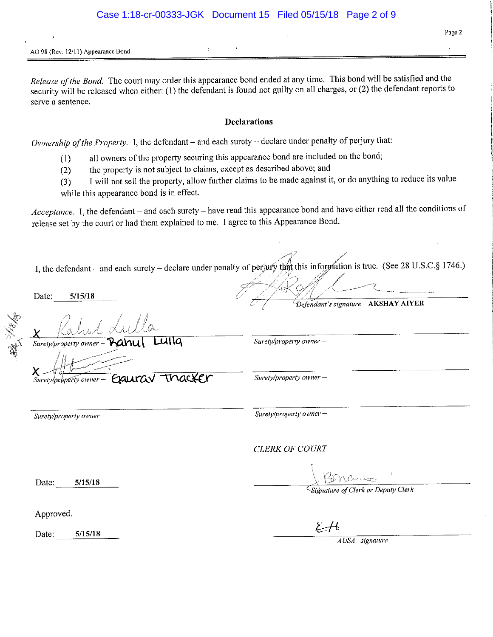#### **AO 98 (Rev. 12/11) Appearance Bond**

*Release of the Bond.* The court may order this appearance bond ended at any time. This bond will be satisfied and the security will be released when either: (I) the defendant is found not guilty on all charges, or (2) the defendant reports to serve a sentence.

#### **Declarations**

*Ownership of the Property.* I, the defendant – and each surety – declare under penalty of perjury that:

- (I) all owners of the propetty securing this appearance bond are included on the bond;
- (2) the propetty is not subject to claims, except as described above; and
- (3) I will not sell the propetty, allow further claims to be made against it, or do anything to reduce its value while this appearance bond is in effect.

*Acceptance.* I, the defendant - and each surety - have read this appearance bond and have either read all the conditions of release set by the comt or had them explained to me. I agree to this Appearance Bond.

I, the defendant – and each surety – declare under penalty of perjury that this information is true. (See 28 U.S.C.§ 1746.) *j* 

 $\gamma$  /

 $\#\mathbb{Z}$  of  $\ell \to$ / 1/ • """ *L/,Y .]* "---\_\_,.,.. '--- *l /* "-f// r // --------· . **5/15/18**  Date: *(. ( "Defendant's signature* **AKSHA Y AIYER**  પ્રાવિ *Surety/property owner-*Surety/property owner tnacker *Surety/property owner-*Surety/property owner-Exaurav *Surety/property owner* - *Surety/property owner* - *CLERK OF COURT*  Date: **5/15/18**  *'·Signature of Clerk or Deputy Clerk*  Approved. Date: **5/15/18**  *A USA signature* -------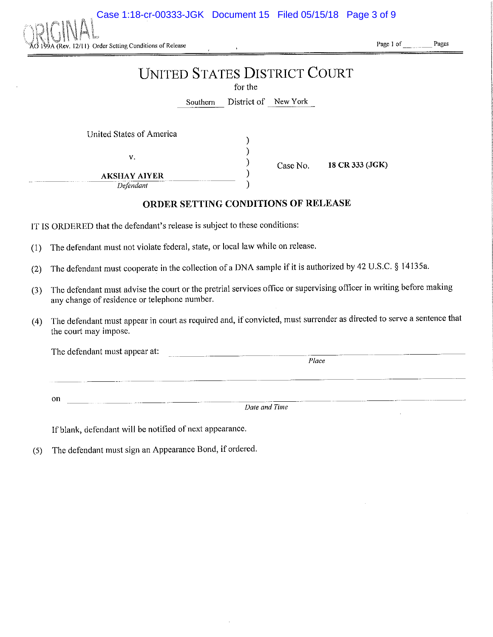Case 1:18-cr-00333-JGK Document 15 Filed 05/15/18 Page 3 of 9



**Page 1 of Pages** 

## **UNITED STATES DISTRICT COURT**

for the

Southern District of New Yark

) ) ) ) )

United States of America

v.

Case No. **18 CR 333 (JGK)** 

**AKSHAY AIYER** *Defendant* 

#### **ORDER SETTING CONDITIONS OF RELEASE**

IT IS ORDERED that the defendant's release is subject to these conditions:

(1) The defendant must not violate federal, state, or local law while on release.

(2) The defendant must cooperate in the collection of a DNA sample if it is authorized by 42 U.S.C. § 14135a.

------ --------- ------------

- (3) The defendant must advise the court or the pretrial services office or supervising officer in writing before making any change of residence or telephone number.
- (4) The defendant must appear in court as required and, if convicted, must surrender as directed to serve a sentence that the court may impose.

The defendant must appear at: *Place* 

on

*Date and Time* 

If blank, defendant will be notified of next appearance.

(5) The defendant must sign an Appearance Bond, if ordered.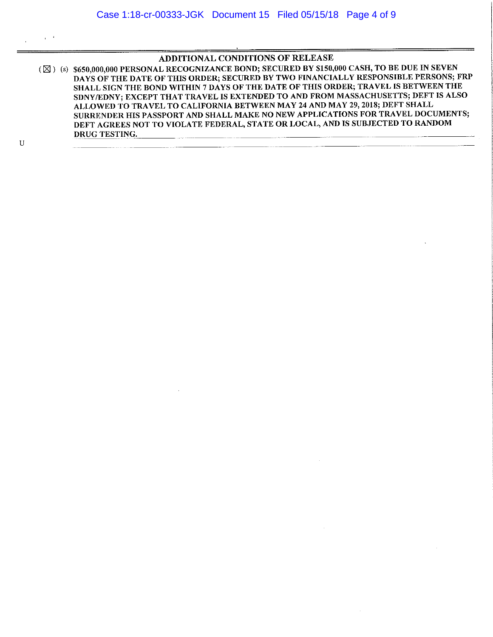#### ADDITIONAL CONDITIONS OF RELEASE

( $\boxtimes$ ) (s) \$650,000,000 PERSONAL RECOGNIZANCE BOND; SECURED BY \$150,000 CASH, TO BE DUE IN SEVEN DAYS OF THE DATE OF THIS ORDER; SECURED BY TWO FINANCIALLY RESPONSIBLE PERSONS; FRP SHALL SIGN THE BOND WITHIN 7 DAYS OF THE DATE OF THIS ORDER; TRAVEL IS BETWEEN THE SDNY/EDNY; EXCEPT THAT TRAVEL IS EXTENDED TO AND FROM MASSACHUSETTS; DEFT IS ALSO ALLOWED TO TRAVEL TO CALIFORNIA BETWEEN MAY 24 AND MAY 29, 2018; DEFT SHALL SURRENDER HIS PASSPORT AND SHALL MAKE NO NEW APPLICATIONS FOR TRAVEL DOCUMENTS; DEFT AGREES NOT TO VIOLATE FEDERAL, STATE OR LOCAL, AND IS SUBJECTED TO RANDOM DRUG TESTING.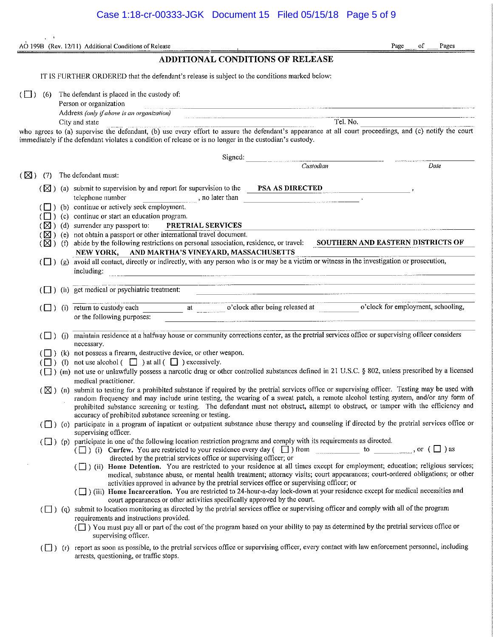|               |                         | AO 199B (Rev. 12/11) Additional Conditions of Release<br>Page<br>оf<br>Pages                                                                                                                                                                                                                                                                                                                                                                                                                                                                                                                                                                                                                                                                                                                                                                        |
|---------------|-------------------------|-----------------------------------------------------------------------------------------------------------------------------------------------------------------------------------------------------------------------------------------------------------------------------------------------------------------------------------------------------------------------------------------------------------------------------------------------------------------------------------------------------------------------------------------------------------------------------------------------------------------------------------------------------------------------------------------------------------------------------------------------------------------------------------------------------------------------------------------------------|
|               |                         | <b>ADDITIONAL CONDITIONS OF RELEASE</b>                                                                                                                                                                                                                                                                                                                                                                                                                                                                                                                                                                                                                                                                                                                                                                                                             |
|               |                         | IT IS FURTHER ORDERED that the defendant's release is subject to the conditions marked below:                                                                                                                                                                                                                                                                                                                                                                                                                                                                                                                                                                                                                                                                                                                                                       |
| $(\Box)$      | (6)                     | The defendant is placed in the custody of:<br>Person or organization<br>Address (only if above is an organization)                                                                                                                                                                                                                                                                                                                                                                                                                                                                                                                                                                                                                                                                                                                                  |
|               |                         | Tel. No.<br>City and state<br>who agrees to (a) supervise the defendant, (b) use every effort to assure the defendant's appearance at all court proceedings, and (c) notify the court<br>immediately if the defendant violates a condition of release or is no longer in the custodian's custody.                                                                                                                                                                                                                                                                                                                                                                                                                                                                                                                                                   |
|               |                         | Signed: Custodian<br>Date                                                                                                                                                                                                                                                                                                                                                                                                                                                                                                                                                                                                                                                                                                                                                                                                                           |
| $(\boxtimes)$ | (7)                     | The defendant must:                                                                                                                                                                                                                                                                                                                                                                                                                                                                                                                                                                                                                                                                                                                                                                                                                                 |
|               |                         | $(\boxtimes)$ (a) submit to supervision by and report for supervision to the <b>PSA AS DIRECTED</b><br>telephone number<br>( $\Box$ ) (b) continue or actively seek employment. $\Box$ , no later than                                                                                                                                                                                                                                                                                                                                                                                                                                                                                                                                                                                                                                              |
|               |                         | $(\Box)$ (c) continue or start an education program.<br>$(\boxtimes)$ (d) surrender any passport to:<br>PRETRIAL SERVICES                                                                                                                                                                                                                                                                                                                                                                                                                                                                                                                                                                                                                                                                                                                           |
|               |                         | $(\boxtimes)$ (e) not obtain a passport or other international travel document.<br>(X) (f) abide by the following restrictions on personal association, residence, or travel: SOUTHERN AND EASTERN DISTRICTS OF<br>NEW YORK, AND MARTHA'S VINEYARD, MASSACHUSETTS                                                                                                                                                                                                                                                                                                                                                                                                                                                                                                                                                                                   |
|               |                         | ( $\Box$ ) (g) avoid all contact, directly or indirectly, with any person who is or may be a victim or witness in the investigation or prosecution,<br>including:<br><u>, and the contract of the contract of the contract of the contract of the contract of the contract of the contract of the contract of the contract of the contract of the contract of the contract of the contract of the con</u>                                                                                                                                                                                                                                                                                                                                                                                                                                           |
|               |                         | <u> 1980 - Januar James Barnett, fransk konstantinopolitik (d. 1980)</u><br>$(\Box)$ (h) get medical or psychiatric treatment:                                                                                                                                                                                                                                                                                                                                                                                                                                                                                                                                                                                                                                                                                                                      |
|               |                         | ([1]) (i) return to custody each at o'clock after being released at o'clock for employment, schooling,<br>or the following purposes:                                                                                                                                                                                                                                                                                                                                                                                                                                                                                                                                                                                                                                                                                                                |
|               | $(\Box)$ (i)            | maintain residence at a halfway house or community corrections center, as the pretrial services office or supervising officer considers<br>necessary.                                                                                                                                                                                                                                                                                                                                                                                                                                                                                                                                                                                                                                                                                               |
|               |                         | (k) not possess a firearm, destructive device, or other weapon.<br>$(\Box)$ (1) not use alcohol $(\Box)$ at all $(\Box)$ excessively.<br>( $\Box$ ) (m) not use or unlawfully possess a narcotic drug or other controlled substances defined in 21 U.S.C. § 802, unless prescribed by a licensed<br>medical practitioner.                                                                                                                                                                                                                                                                                                                                                                                                                                                                                                                           |
|               |                         | (X) (n) submit to testing for a prohibited substance if required by the pretrial services office or supervising officer. Testing may be used with<br>random frequency and may include urine testing, the wearing of a sweat patch, a remote alcohol testing system, and/or any form of<br>prohibited substance screening or testing. The defendant must not obstruct, attempt to obstruct, or tamper with the efficiency and<br>accuracy of prohibited substance screening or testing.                                                                                                                                                                                                                                                                                                                                                              |
|               |                         | ( $\Box$ ) (o) participate in a program of inpatient or outpatient substance abuse therapy and counseling if directed by the pretrial services office or<br>supervising officer.                                                                                                                                                                                                                                                                                                                                                                                                                                                                                                                                                                                                                                                                    |
|               |                         | ( $\Box$ ) (p) participate in one of the following location restriction programs and comply with its requirements as directed.<br>( $\Box$ ) (i) Curfew. You are restricted to your residence every day ( $\Box$ ) from $\Box$ to $\Box$ , or ( $\Box$ ) as<br>directed by the pretrial services office or supervising officer; or<br>( [ ] ) (ii) Home Detention. You are restricted to your residence at all times except for employment; education; religious services;<br>medical, substance abuse, or mental health treatment; attorney visits; court appearances; court-ordered obligations; or other<br>activities approved in advance by the pretrial services office or supervising officer; or<br>( $\Box$ ) (iii) Home Incarceration. You are restricted to 24-hour-a-day lock-down at your residence except for medical necessities and |
|               |                         | court appearances or other activities specifically approved by the court.<br>$(\Box)$ (q) submit to location monitoring as directed by the pretrial services office or supervising officer and comply with all of the program<br>requirements and instructions provided.<br>( $\Box$ ) You must pay all or part of the cost of the program based on your ability to pay as determined by the pretrial services office or<br>supervising officer.                                                                                                                                                                                                                                                                                                                                                                                                    |
|               | $\left(\Box\right)$ (r) | report as soon as possible, to the pretrial services office or supervising officer, every contact with law enforcement personnel, including<br>arrests, questioning, or traffic stops.                                                                                                                                                                                                                                                                                                                                                                                                                                                                                                                                                                                                                                                              |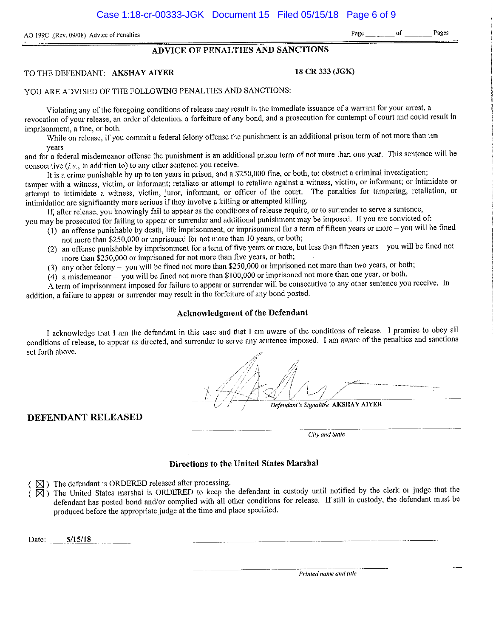AO 199C (Rev. 09/08) Advice of Penalties **Pages Pages Pages Pages Pages Pages Pages Pages Pages Pages** 

#### **ADVICE OF PENALTIES AND SANCTIONS**

#### TO THE DEFENDANT: **AKSHAY AIYER** 18 CR 333 (JGK)

#### YOU ARE ADVISED OF THE FOLLOWING PENALTIES AND SANCTIONS:

Violating any of the foregoing conditions of release may result in the immediate issuance of a warrant for your arrest, a revocation of your release, an order of detention, a forfeiture of any bond, and a prosecution for contempt of court and could result in **imprisonment, a fine, or both.** 

While on release, if you commit a federal felony offense the punishment is an additional prison term of not more than ten **years** 

and for a federal misdemeanor offense the punishment is an additional prison term of not more than one year. This sentence will be consecutive  $(i.e., in addition to)$  to any other sentence you receive.

It is a crime punishable by up to ten years in prison, and a \$250,000 fine, or both, to: obstrnct a criminal investigation; **tamper with a witness, victim, or informant; retaliate or attempt to retaliate against a witness, victim, or informant; or intimidate or**  attempt to intimidate a witness, victim, juror, informant, or officer of the court. The penalties for tampering, retaliation, or intimidation are significantly more serious if they involve a killing or attempted killing.

If, after release, you knowingly fail to appear as the conditions of release require, or to surrender to serve a sentence,

you may be prosecuted for failing to appear or surrender and additional punishment may be imposed. If you are convicted of:

- $(1)$  an offense punishable by death, life imprisonment, or imprisonment for a term of fifteen years or more you will be fined not more than \$250,000 or imprisoned for not more than 10 years, or both;
- (2) an offense punishable by imprisonment for a term of five years or more, but less than fifteen years -you will be fined not more than \$250,000 or imprisoned for not more than five years, or both;
- (3) any other felony- you will be fined not more than \$250,000 or imprisoned not more than two years, or both;
- (4) a misdemeanor you will be fined not more than \$100,000 or imprisoned not more than one year, or both.

**A term of imprisonment imposed for failure to appear or sunender will be consecutive to any other sentence you receive. In**  addition, a failure to appear or surrender may result in the forfeiture of any bond posted.

#### **Acknowledgment of the Defendant**

I acknowledge that I am the defendant in this case and that I am aware of the conditions of release. I promise to obey all conditions of release, to appear as directed, and surrender to serve any sentence imposed. I am aware of the penalties and sanctions set forth above.

Defendant's Signaltire AKSHAY AIYER

#### **DEFENDANT RELEASED**

 $\overline{\qquad \qquad }$   $\qquad \qquad$   $\qquad \qquad$   $\qquad \qquad$   $\qquad \qquad$   $\qquad \qquad$   $\qquad \qquad$   $\qquad \qquad$   $\qquad$   $\qquad$   $\qquad$   $\qquad$   $\qquad$   $\qquad$   $\qquad$   $\qquad$   $\qquad$   $\qquad$   $\qquad$   $\qquad$   $\qquad$   $\qquad$   $\qquad$   $\qquad$   $\qquad$   $\qquad$   $\qquad$   $\qquad$   $\qquad$   $\qquad$   $\qquad$   $\qquad$  *City and Stale* 

#### **Directions to the United States Marshal**

 $(\boxtimes)$  The defendant is ORDERED released after processing.

 $(\overline{\boxtimes})$  The United States marshal is ORDERED to keep the defendant in custody until notified by the clerk or judge that the defendant has posted bond and/or complied with all other conditions for release. If still in custody, the defendant must be produced before the appropriate judge at the time and place specified.

Date: 5/15/18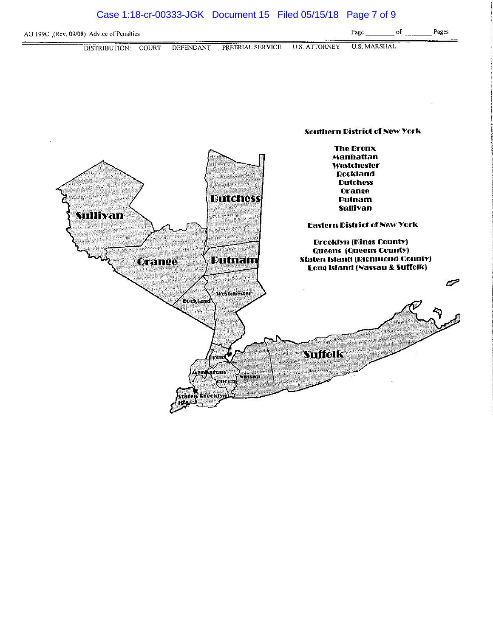### Case 1:18-cr-00333-JGK Document 15 Filed 05/15/18 Page 7 of 9



Dutnani

Westchester

.<br>Nassau

**TOTL** 

**Queen** 

<u>ja</u>n**ý**ąttan

,<br>Freeklyn

វតា។

**Dockland** 

Orange



**Suffolk** 

 $\mathscr{P}$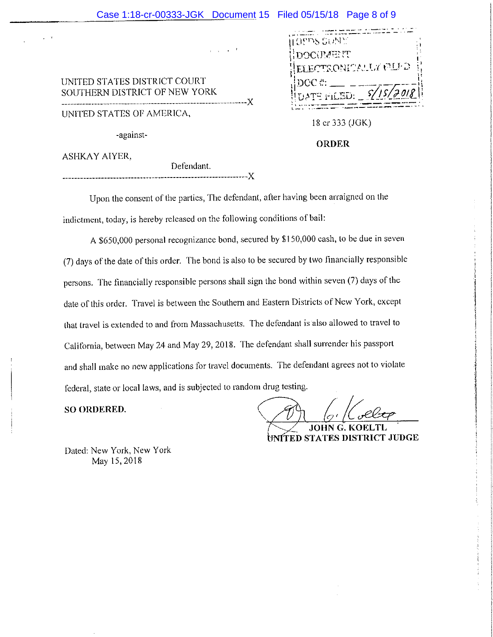#### Case 1:18-cr-00333-JGK Document 15 Filed 05/15/18 Page 8 of 9

 $\sim$ 

UNITED STATES DISTRICT COURT SOUTHERN DISTRICT OF NEW YORK ------------------X

UNITED STATES or AMERICA,

-against-

| <b>LOPPIS GUNE</b>         |  |
|----------------------------|--|
| HDOCUMENT                  |  |
| ELECTRONICALLY FILED       |  |
| DCC #                      |  |
| $ UATE$ FILED: $S/15/7018$ |  |
|                            |  |

18 er 333 (JGK)

#### **ORDER**

ASHKAY AIYER,

-----------------X

Defendant.

Upon the consent of the parties, The defendant, after having been arraigned on the indictment, today, is hereby released on the following conditions of bail:

A \$650,000 personal recognizance bond, secured by \$150,000 cash, to be due in seven (7) days of the date of this order. The bond is also to be secured by two financially responsible persons. The financially responsible persons shall sign the bond within seven (7) days of the date of this order. Travel is between the Southern and Eastern Districts of New York, except that (ravel is extended to and from Massachusetts. The defendant is also allowed to travel to California, between May 24 and May 29, 2018. The defendant shall surrender his passport and shall make no new applications for travel documents. The defendant agrees not to violate federal, state or local laws, and is subjected to random drug testing.

**SO ORDERED.** 

JOHN UNÍTED STATES DISTRICT JUDGE

Dated: New York, New York May 15,2018